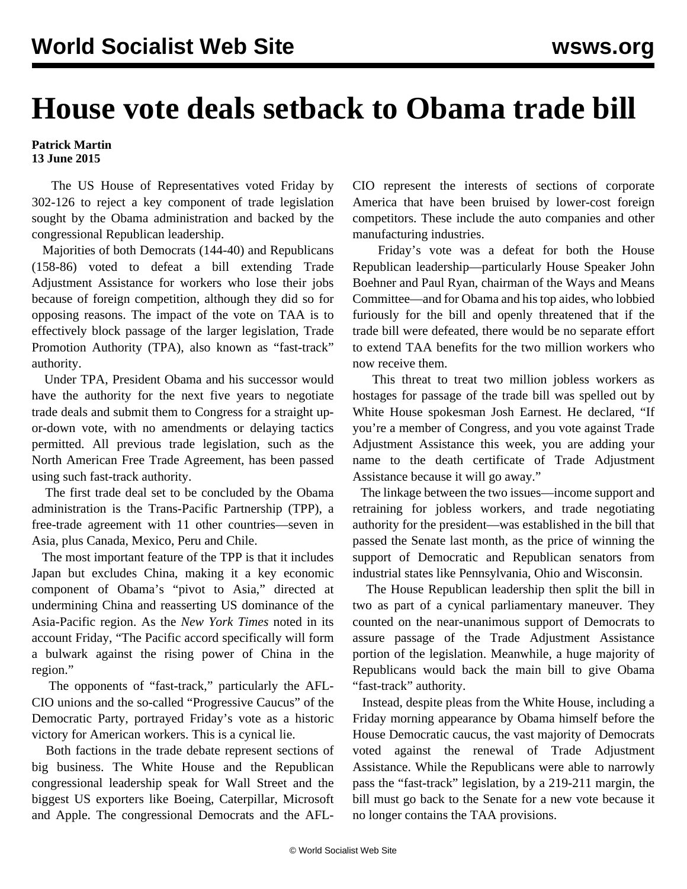## **House vote deals setback to Obama trade bill**

## **Patrick Martin 13 June 2015**

 The US House of Representatives voted Friday by 302-126 to reject a key component of trade legislation sought by the Obama administration and backed by the congressional Republican leadership.

 Majorities of both Democrats (144-40) and Republicans (158-86) voted to defeat a bill extending Trade Adjustment Assistance for workers who lose their jobs because of foreign competition, although they did so for opposing reasons. The impact of the vote on TAA is to effectively block passage of the larger legislation, Trade Promotion Authority (TPA), also known as "fast-track" authority.

 Under TPA, President Obama and his successor would have the authority for the next five years to negotiate trade deals and submit them to Congress for a straight upor-down vote, with no amendments or delaying tactics permitted. All previous trade legislation, such as the North American Free Trade Agreement, has been passed using such fast-track authority.

 The first trade deal set to be concluded by the Obama administration is the Trans-Pacific Partnership (TPP), a free-trade agreement with 11 other countries—seven in Asia, plus Canada, Mexico, Peru and Chile.

 The most important feature of the TPP is that it includes Japan but excludes China, making it a key economic component of Obama's "pivot to Asia," directed at undermining China and reasserting US dominance of the Asia-Pacific region. As the *New York Times* noted in its account Friday, "The Pacific accord specifically will form a bulwark against the rising power of China in the region."

 The opponents of "fast-track," particularly the AFL-CIO unions and the so-called "Progressive Caucus" of the Democratic Party, portrayed Friday's vote as a historic victory for American workers. This is a cynical lie.

 Both factions in the trade debate represent sections of big business. The White House and the Republican congressional leadership speak for Wall Street and the biggest US exporters like Boeing, Caterpillar, Microsoft and Apple. The congressional Democrats and the AFL-

CIO represent the interests of sections of corporate America that have been bruised by lower-cost foreign competitors. These include the auto companies and other manufacturing industries.

 Friday's vote was a defeat for both the House Republican leadership—particularly House Speaker John Boehner and Paul Ryan, chairman of the Ways and Means Committee—and for Obama and his top aides, who lobbied furiously for the bill and openly threatened that if the trade bill were defeated, there would be no separate effort to extend TAA benefits for the two million workers who now receive them.

 This threat to treat two million jobless workers as hostages for passage of the trade bill was spelled out by White House spokesman Josh Earnest. He declared, "If you're a member of Congress, and you vote against Trade Adjustment Assistance this week, you are adding your name to the death certificate of Trade Adjustment Assistance because it will go away."

 The linkage between the two issues—income support and retraining for jobless workers, and trade negotiating authority for the president—was established in the bill that passed the Senate last month, as the price of winning the support of Democratic and Republican senators from industrial states like Pennsylvania, Ohio and Wisconsin.

 The House Republican leadership then split the bill in two as part of a cynical parliamentary maneuver. They counted on the near-unanimous support of Democrats to assure passage of the Trade Adjustment Assistance portion of the legislation. Meanwhile, a huge majority of Republicans would back the main bill to give Obama "fast-track" authority.

 Instead, despite pleas from the White House, including a Friday morning appearance by Obama himself before the House Democratic caucus, the vast majority of Democrats voted against the renewal of Trade Adjustment Assistance. While the Republicans were able to narrowly pass the "fast-track" legislation, by a 219-211 margin, the bill must go back to the Senate for a new vote because it no longer contains the TAA provisions.